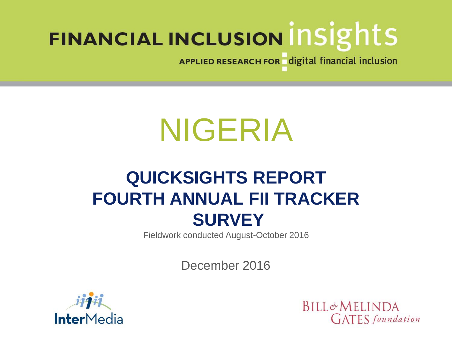APPLIED RESEARCH FOR digital financial inclusion

# NIGERIA

## **QUICKSIGHTS REPORT FOURTH ANNUAL FII TRACKER SURVEY**

Fieldwork conducted August-October 2016

December 2016



**BILL&MELINDA GATES** foundation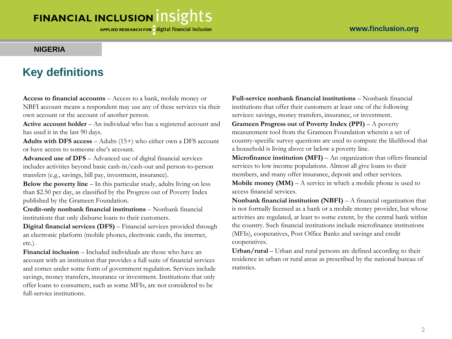APPLIED RESEARCH FOR digital financial inclusion

#### **NIGERIA**

#### **Key definitions**

**Access to financial accounts** – Access to a bank, mobile money or

NBFI account means a respondent may use any of these services via their own account or the account of another person.

**Active account holder** – An individual who has a registered account and has used it in the last 90 days.

**Adults with DFS access** – Adults (15+) who either own a DFS account or have access to someone else's account.

**Advanced use of DFS** – Advanced use of digital financial services includes activities beyond basic cash-in/cash-out and person-to-person transfers (e.g., savings, bill pay, investment, insurance).

**Below the poverty line** – In this particular study, adults living on less than \$2.50 per day, as classified by the Progress out of Poverty Index published by the Grameen Foundation.

**Credit-only nonbank financial institutions** – Nonbank financial institutions that only disburse loans to their customers.

**Digital financial services (DFS)** – Financial services provided through an electronic platform (mobile phones, electronic cards, the internet, etc.).

**Financial inclusion** – Included individuals are those who have an account with an institution that provides a full suite of financial services and comes under some form of government regulation. Services include savings, money transfers, insurance or investment. Institutions that only offer loans to consumers, such as some MFIs, are not considered to be full-service institutions.

**Full-service nonbank financial institutions** – Nonbank financial institutions that offer their customers at least one of the following services: savings, money transfers, insurance, or investment.

**Grameen Progress out of Poverty Index (PPI)** – A poverty measurement tool from the Grameen Foundation wherein a set of country-specific survey questions are used to compute the likelihood that a household is living above or below a poverty line.

**Microfinance institution (MFI)** – An organization that offers financial services to low income populations. Almost all give loans to their members, and many offer insurance, deposit and other services.

**Mobile money (MM)** – A service in which a mobile phone is used to access financial services.

**Nonbank financial institution (NBFI)** – A financial organization that is not formally licensed as a bank or a mobile money provider, but whose activities are regulated, at least to some extent, by the central bank within the country. Such financial institutions include microfinance institutions (MFIs), cooperatives, Post Office Banks and savings and credit cooperatives.

**Urban/rural** – Urban and rural persons are defined according to their residence in urban or rural areas as prescribed by the national bureau of statistics.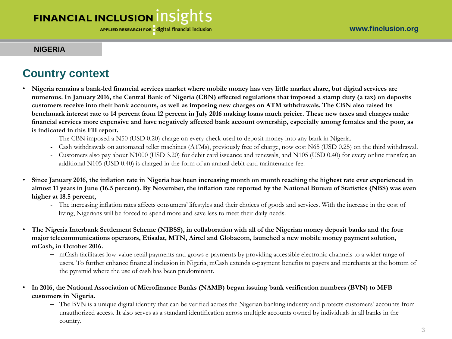#### **NIGERIA**

### **Country context**

- **Nigeria remains a bank-led financial services market where mobile money has very little market share, but digital services are numerous. In January 2016, the Central Bank of Nigeria (CBN) effected regulations that imposed a stamp duty (a tax) on deposits customers receive into their bank accounts, as well as imposing new charges on ATM withdrawals. The CBN also raised its benchmark interest rate to 14 percent from 12 percent in July 2016 making loans much pricier. These new taxes and charges make financial services more expensive and have negatively affected bank account ownership, especially among females and the poor, as is indicated in this FII report.**
	- The CBN imposed a N50 (USD 0.20) charge on every check used to deposit money into any bank in Nigeria.
	- Cash withdrawals on automated teller machines (ATMs), previously free of charge, now cost N65 (USD 0.25) on the third withdrawal.
	- Customers also pay about N1000 (USD 3.20) for debit card issuance and renewals, and N105 (USD 0.40) for every online transfer; an additional N105 (USD 0.40) is charged in the form of an annual debit card maintenance fee.
- **Since January 2016, the inflation rate in Nigeria has been increasing month on month reaching the highest rate ever experienced in almost 11 years in June (16.5 percent). By November, the inflation rate reported by the National Bureau of Statistics (NBS) was even higher at 18.5 percent,**
	- The increasing inflation rates affects consumers' lifestyles and their choices of goods and services. With the increase in the cost of living, Nigerians will be forced to spend more and save less to meet their daily needs.
- **The Nigeria Interbank Settlement Scheme (NIBSS), in collaboration with all of the Nigerian money deposit banks and the four major telecommunications operators, Etisalat, MTN, Airtel and Globacom, launched a new mobile money payment solution, mCash, in October 2016.**
	- mCash facilitates low-value retail payments and grows e-payments by providing accessible electronic channels to a wider range of users. To further enhance financial inclusion in Nigeria, mCash extends e-payment benefits to payers and merchants at the bottom of the pyramid where the use of cash has been predominant.
- **In 2016, the National Association of Microfinance Banks (NAMB) began issuing bank verification numbers (BVN) to MFB customers in Nigeria.** 
	- The BVN is a unique digital identity that can be verified across the Nigerian banking industry and protects customers' accounts from unauthorized access. It also serves as a standard identification across multiple accounts owned by individuals in all banks in the country.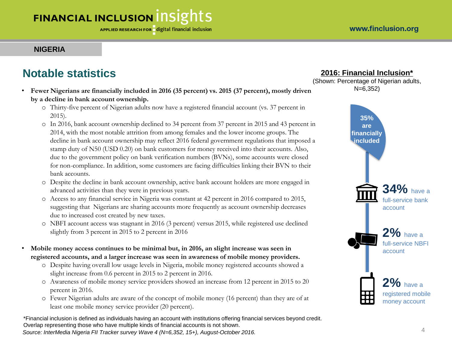#### **NIGERIA**

## **Notable statistics**

- **Fewer Nigerians are financially included in 2016 (35 percent) vs. 2015 (37 percent), mostly driven by a decline in bank account ownership.** 
	- o Thirty-five percent of Nigerian adults now have a registered financial account (vs. 37 percent in 2015).
	- o In 2016, bank account ownership declined to 34 percent from 37 percent in 2015 and 43 percent in 2014, with the most notable attrition from among females and the lower income groups. The decline in bank account ownership may reflect 2016 federal government regulations that imposed a stamp duty of N50 (USD 0.20) on bank customers for money received into their accounts. Also, due to the government policy on bank verification numbers (BVNs), some accounts were closed for non-compliance. In addition, some customers are facing difficulties linking their BVN to their bank accounts.
	- o Despite the decline in bank account ownership, active bank account holders are more engaged in advanced activities than they were in previous years.
	- o Access to any financial service in Nigeria was constant at 42 percent in 2016 compared to 2015, suggesting that Nigerians are sharing accounts more frequently as account ownership decreases due to increased cost created by new taxes.
	- o NBFI account access was stagnant in 2016 (3 percent) versus 2015, while registered use declined slightly from 3 percent in 2015 to 2 percent in 2016
- **Mobile money access continues to be minimal but, in 2016, an slight increase was seen in registered accounts, and a larger increase was seen in awareness of mobile money providers.**
	- o Despite having overall low usage levels in Nigeria, mobile money registered accounts showed a slight increase from 0.6 percent in 2015 to 2 percent in 2016.
	- o Awareness of mobile money service providers showed an increase from 12 percent in 2015 to 20 percent in 2016.
	- o Fewer Nigerian adults are aware of the concept of mobile money (16 percent) than they are of at least one mobile money service provider (20 percent).

\*Financial inclusion is defined as individuals having an account with institutions offering financial services beyond credit. Overlap representing those who have multiple kinds of financial accounts is not shown. 4 *Source: InterMedia Nigeria FII Tracker survey Wave 4 (N=6,352, 15+), August-October 2016.*

#### **2016: Financial Inclusion\***

(Shown: Percentage of Nigerian adults, N=6,352)

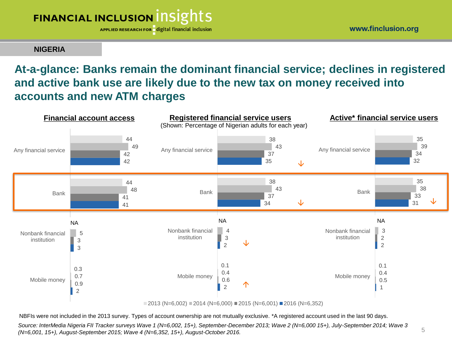APPLIED RESEARCH FOR digital financial inclusion

www.finclusion.org

#### **NIGERIA**

## **At-a-glance: Banks remain the dominant financial service; declines in registered and active bank use are likely due to the new tax on money received into accounts and new ATM charges**



NBFIs were not included in the 2013 survey. Types of account ownership are not mutually exclusive. \*A registered account used in the last 90 days.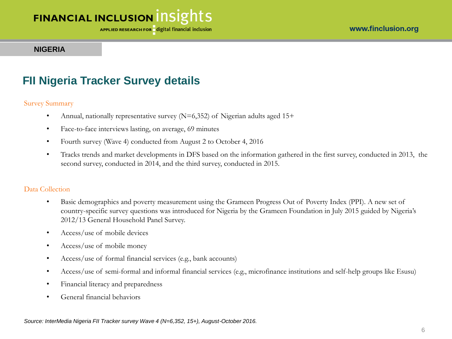#### **NIGERIA**

#### **FII Nigeria Tracker Survey details**

#### Survey Summary

- Annual, nationally representative survey  $(N=6,352)$  of Nigerian adults aged 15+
- Face-to-face interviews lasting, on average, 69 minutes
- Fourth survey (Wave 4) conducted from August 2 to October 4, 2016
- Tracks trends and market developments in DFS based on the information gathered in the first survey, conducted in 2013, the second survey, conducted in 2014, and the third survey, conducted in 2015.

#### Data Collection

- Basic demographics and poverty measurement using the Grameen Progress Out of Poverty Index (PPI). A new set of country-specific survey questions was introduced for Nigeria by the Grameen Foundation in July 2015 guided by Nigeria's 2012/13 General Household Panel Survey.
- Access/use of mobile devices
- Access/use of mobile money
- Access/use of formal financial services (e.g., bank accounts)
- Access/use of semi-formal and informal financial services (e.g., microfinance institutions and self-help groups like Esusu)
- Financial literacy and preparedness
- General financial behaviors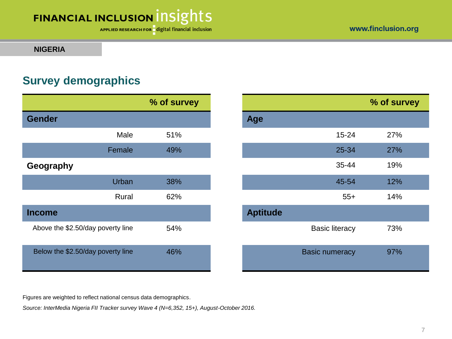APPLIED RESEARCH FOR digital financial inclusion

#### **NIGERIA**

### **Survey demographics**

| % of survey<br><b>Gender</b><br><b>Age</b> |                       |
|--------------------------------------------|-----------------------|
|                                            |                       |
|                                            |                       |
| Male<br>51%                                | $15 - 24$             |
| 49%<br>Female                              | 25-34                 |
| Geography                                  | 35-44                 |
| <b>Urban</b><br>38%                        | 45-54                 |
| 62%<br>Rural                               | $55+$                 |
| <b>Aptitude</b><br><b>Income</b>           |                       |
| Above the \$2.50/day poverty line<br>54%   | <b>Basic literacy</b> |
| Below the \$2.50/day poverty line<br>46%   | <b>Basic numeracy</b> |

|           | % of survey |                 |                       | % of survey |
|-----------|-------------|-----------------|-----------------------|-------------|
|           |             | Age             |                       |             |
| Male      | 51%         |                 | $15 - 24$             | 27%         |
| Female    | 49%         |                 | 25-34                 | 27%         |
|           |             |                 | 35-44                 | 19%         |
| Urban     | 38%         |                 | 45-54                 | 12%         |
| Rural     | 62%         |                 | $55+$                 | 14%         |
|           |             | <b>Aptitude</b> |                       |             |
| erty line | 54%         |                 | <b>Basic literacy</b> | 73%         |
| erty line | 46%         |                 | <b>Basic numeracy</b> | 97%         |

Figures are weighted to reflect national census data demographics.

*Source: InterMedia Nigeria FII Tracker survey Wave 4 (N=6,352, 15+), August-October 2016.*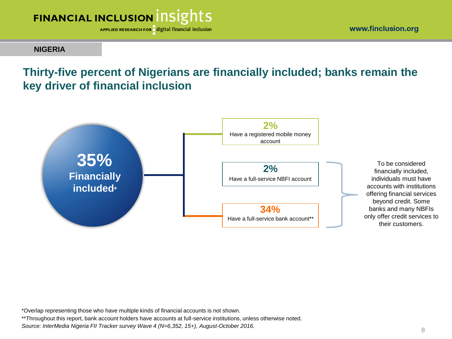

APPLIED RESEARCH FOR digital financial inclusion

**NIGERIA**

### **Thirty-five percent of Nigerians are financially included; banks remain the key driver of financial inclusion**



\*Overlap representing those who have multiple kinds of financial accounts is not shown.

\*\*Throughout this report, bank account holders have accounts at full-service institutions, unless otherwise noted.

*Source: InterMedia Nigeria FII Tracker survey Wave 4 (N=6,352, 15+), August-October 2016.*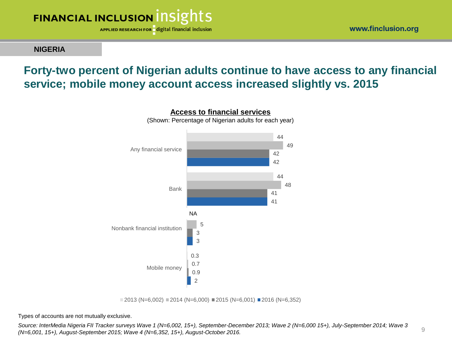

**NIGERIA**

#### www.finclusion.org

9

#### **Forty-two percent of Nigerian adults continue to have access to any financial service; mobile money account access increased slightly vs. 2015**



 $\Box$  2013 (N=6,002)  $\Box$  2014 (N=6,000)  $\Box$  2015 (N=6,001)  $\Box$  2016 (N=6,352)

Types of accounts are not mutually exclusive.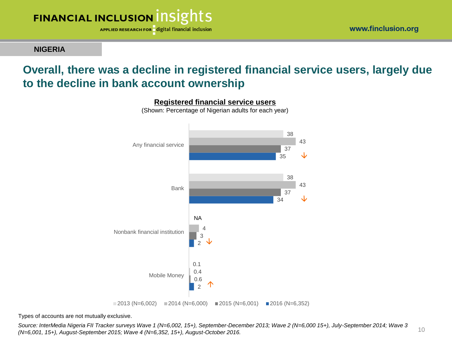

**NIGERIA**

## **Overall, there was a decline in registered financial service users, largely due to the decline in bank account ownership**



**Registered financial service users** (Shown: Percentage of Nigerian adults for each year)

Types of accounts are not mutually exclusive.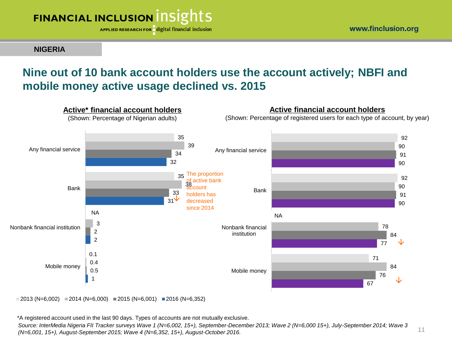

**NIGERIA**

11

### **Nine out of 10 bank account holders use the account actively; NBFI and mobile money active usage declined vs. 2015**



 $2013$  (N=6,002) 2014 (N=6,000) 2015 (N=6,001) 2016 (N=6,352)

\*A registered account used in the last 90 days. Types of accounts are not mutually exclusive.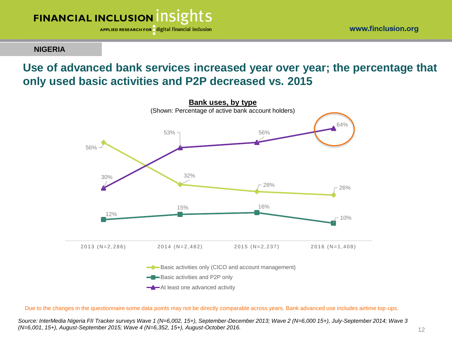

www.finclusion.org

#### **NIGERIA**

### **Use of advanced bank services increased year over year; the percentage that only used basic activities and P2P decreased vs. 2015**



Due to the changes in the questionnaire some data points may not be directly comparable across years. Bank advanced use includes airtime top-ups.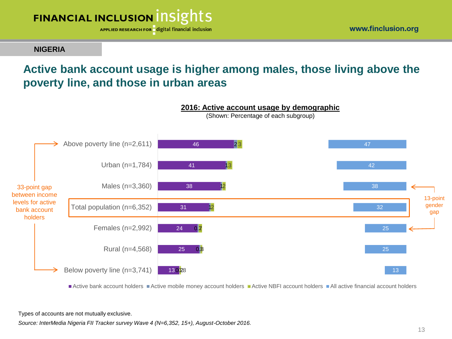

**NIGERIA**

## **Active bank account usage is higher among males, those living above the poverty line, and those in urban areas**



Active bank account holders Active mobile money account holders Active NBFI account holders All active financial account holders

Types of accounts are not mutually exclusive.

*Source: InterMedia Nigeria FII Tracker survey Wave 4 (N=6,352, 15+), August-October 2016.*

www.finclusion.org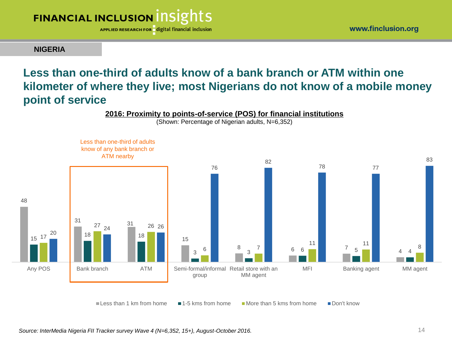

www.finclusion.org

**NIGERIA**

## **Less than one-third of adults know of a bank branch or ATM within one kilometer of where they live; most Nigerians do not know of a mobile money point of service**



Less than 1 km from home  $\blacksquare$  1-5 kms from home  $\blacksquare$  More than 5 kms from home  $\blacksquare$  Don't know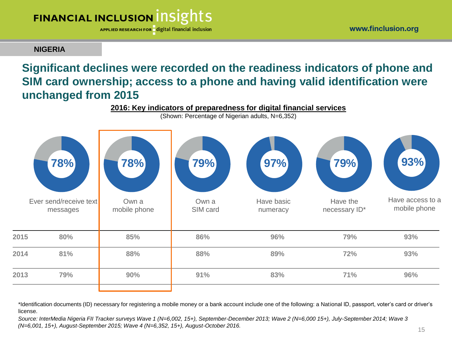www.finclusion.org

## **FINANCIAL INCLUSION INSIGHTS**

APPLIED RESEARCH FOR digital financial inclusion

#### **NIGERIA**

### **Significant declines were recorded on the readiness indicators of phone and SIM card ownership; access to a phone and having valid identification were unchanged from 2015**



\*Identification documents (ID) necessary for registering a mobile money or a bank account include one of the following: a National ID, passport, voter's card or driver's license.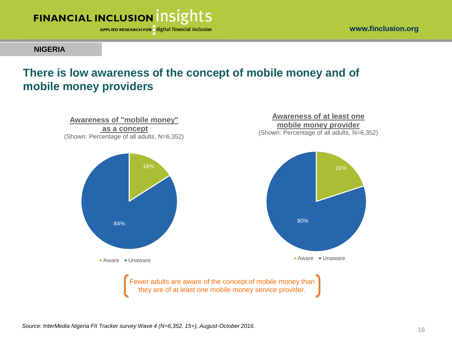

**NIGERIA**

### **There is low awareness of the concept of mobile money and of mobile money providers**

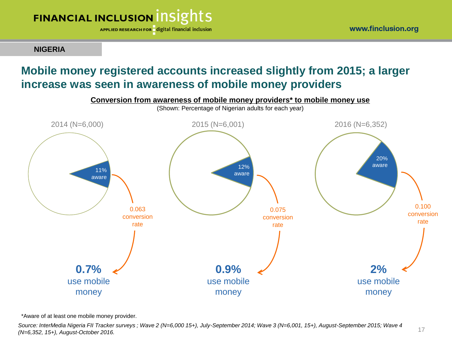APPLIED RESEARCH FOR digital financial inclusion

**NIGERIA**

## **Mobile money registered accounts increased slightly from 2015; a larger increase was seen in awareness of mobile money providers**



\*Aware of at least one mobile money provider.

*Source: InterMedia Nigeria FII Tracker surveys ; Wave 2 (N=6,000 15+), July-September 2014; Wave 3 (N=6,001, 15+), August-September 2015; Wave 4 (N=6,352, 15+), August-October 2016.*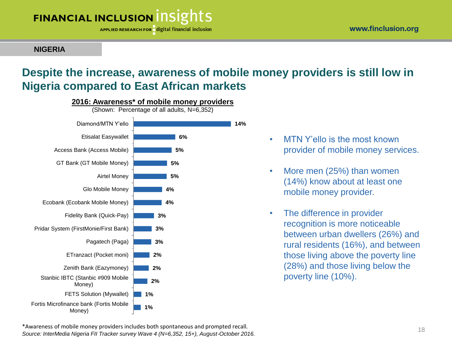APPLIED RESEARCH FOR digital financial inclusion

#### **NIGERIA**

## **Despite the increase, awareness of mobile money providers is still low in Nigeria compared to East African markets**



- MTN Y'ello is the most known provider of mobile money services.
- More men (25%) than women (14%) know about at least one mobile money provider.
- The difference in provider recognition is more noticeable between urban dwellers (26%) and rural residents (16%), and between those living above the poverty line (28%) and those living below the poverty line (10%).

\*Awareness of mobile money providers includes both spontaneous and prompted recall. 18<br>
28 *Source: InterMedia Nigeria FII Tracker survey Wave 4 (N=6,352, 15+), August-October 2016.*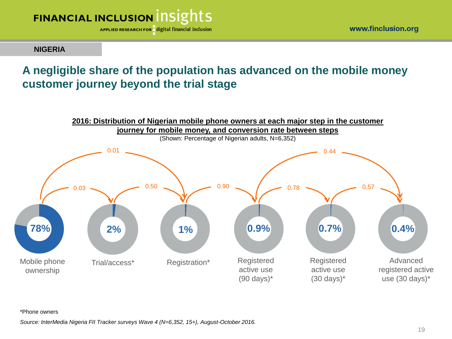

www.finclusion.org

#### **NIGERIA**

### **A negligible share of the population has advanced on the mobile money customer journey beyond the trial stage**



\*Phone owners

*Source: InterMedia Nigeria FII Tracker surveys Wave 4 (N=6,352, 15+), August-October 2016.*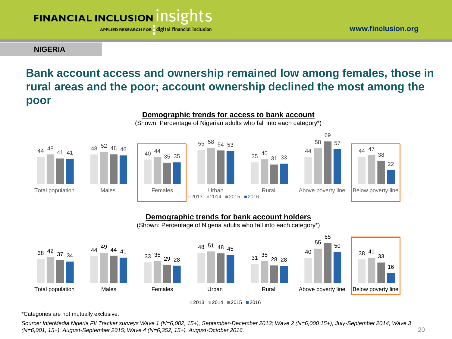APPLIED RESEARCH FOR digital financial inclusion

www.finclusion.org

#### **NIGERIA**

## **Bank account access and ownership remained low among females, those in rural areas and the poor; account ownership declined the most among the poor**



#### **Demographic trends for bank account holders**



\*Categories are not mutually exclusive.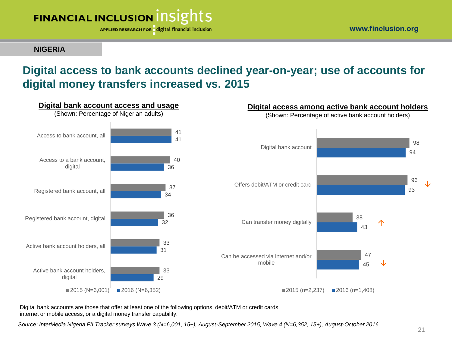

**NIGERIA**

## **Digital access to bank accounts declined year-on-year; use of accounts for digital money transfers increased vs. 2015**



Digital bank accounts are those that offer at least one of the following options: debit/ATM or credit cards, internet or mobile access, or a digital money transfer capability.

*Source: InterMedia Nigeria FII Tracker surveys Wave 3 (N=6,001, 15+), August-September 2015; Wave 4 (N=6,352, 15+), August-October 2016.*

93

96

↓

94

98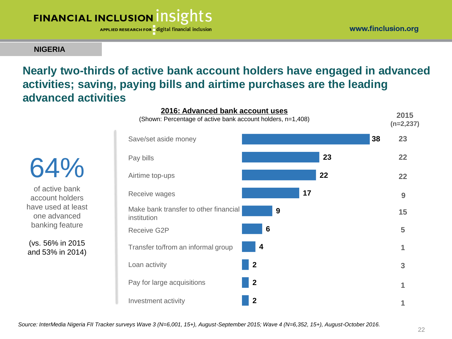

APPLIED RESEARCH FOR digital financial inclusion

**NIGERIA**

### **Nearly two-thirds of active bank account holders have engaged in advanced activities; saving, paying bills and airtime purchases are the leading advanced activities**

64% of active bank account holders have used at least one advanced

banking feature

(vs. 56% in 2015 and 53% in 2014)

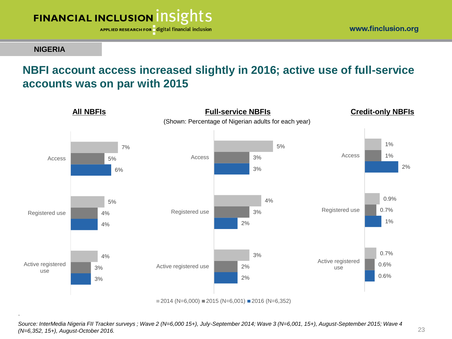

**NIGERIA**

.

## **NBFI account access increased slightly in 2016; active use of full-service accounts was on par with 2015**



*Source: InterMedia Nigeria FII Tracker surveys ; Wave 2 (N=6,000 15+), July-September 2014; Wave 3 (N=6,001, 15+), August-September 2015; Wave 4* 

*(N=6,352, 15+), August-October 2016.*

www.finclusion.org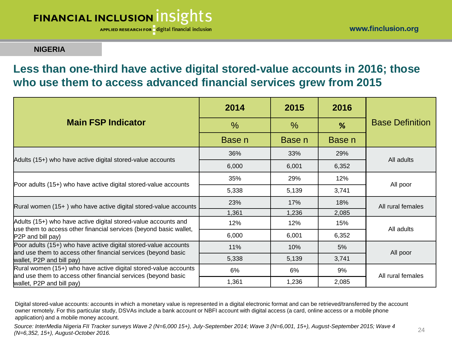APPLIED RESEARCH FOR digital financial inclusion

#### **NIGERIA**

### **Less than one-third have active digital stored-value accounts in 2016; those who use them to access advanced financial services grew from 2015**

|                                                                                                                                     | 2014          | 2015          | 2016   |                        |  |
|-------------------------------------------------------------------------------------------------------------------------------------|---------------|---------------|--------|------------------------|--|
| <b>Main FSP Indicator</b>                                                                                                           | $\frac{0}{0}$ | $\frac{0}{0}$ | %      | <b>Base Definition</b> |  |
|                                                                                                                                     | Base n        | Base n        | Base n |                        |  |
|                                                                                                                                     | 36%           | 33%           | 29%    | All adults             |  |
| Adults (15+) who have active digital stored-value accounts                                                                          | 6,000         | 6,001         | 6,352  |                        |  |
|                                                                                                                                     | 35%           | 29%           | 12%    | All poor               |  |
| Poor adults (15+) who have active digital stored-value accounts                                                                     | 5,338         | 5,139         | 3,741  |                        |  |
| Rural women (15+) who have active digital stored-value accounts                                                                     | 23%           | 17%           | 18%    | All rural females      |  |
|                                                                                                                                     | 1,361         | 1,236         | 2,085  |                        |  |
| Adults (15+) who have active digital stored-value accounts and<br>use them to access other financial services (beyond basic wallet, | 12%           | 12%           | 15%    | All adults             |  |
| P2P and bill pay)                                                                                                                   | 6,000         | 6,001         | 6,352  |                        |  |
| Poor adults (15+) who have active digital stored-value accounts<br>and use them to access other financial services (beyond basic    | 11%           | 10%           | 5%     | All poor               |  |
| wallet, P2P and bill pay)                                                                                                           | 5,338         | 5,139         | 3,741  |                        |  |
| Rural women (15+) who have active digital stored-value accounts<br>and use them to access other financial services (beyond basic    | 6%            | 6%            | 9%     | All rural females      |  |
| wallet, P2P and bill pay)                                                                                                           | 1,361         | 1,236         | 2,085  |                        |  |

Digital stored-value accounts: accounts in which a monetary value is represented in a digital electronic format and can be retrieved/transferred by the account owner remotely. For this particular study, DSVAs include a bank account or NBFI account with digital access (a card, online access or a mobile phone application) and a mobile money account.

*Source: InterMedia Nigeria FII Tracker surveys Wave 2 (N=6,000 15+), July-September 2014; Wave 3 (N=6,001, 15+), August-September 2015; Wave 4 (N=6,352, 15+), August-October 2016.* 24